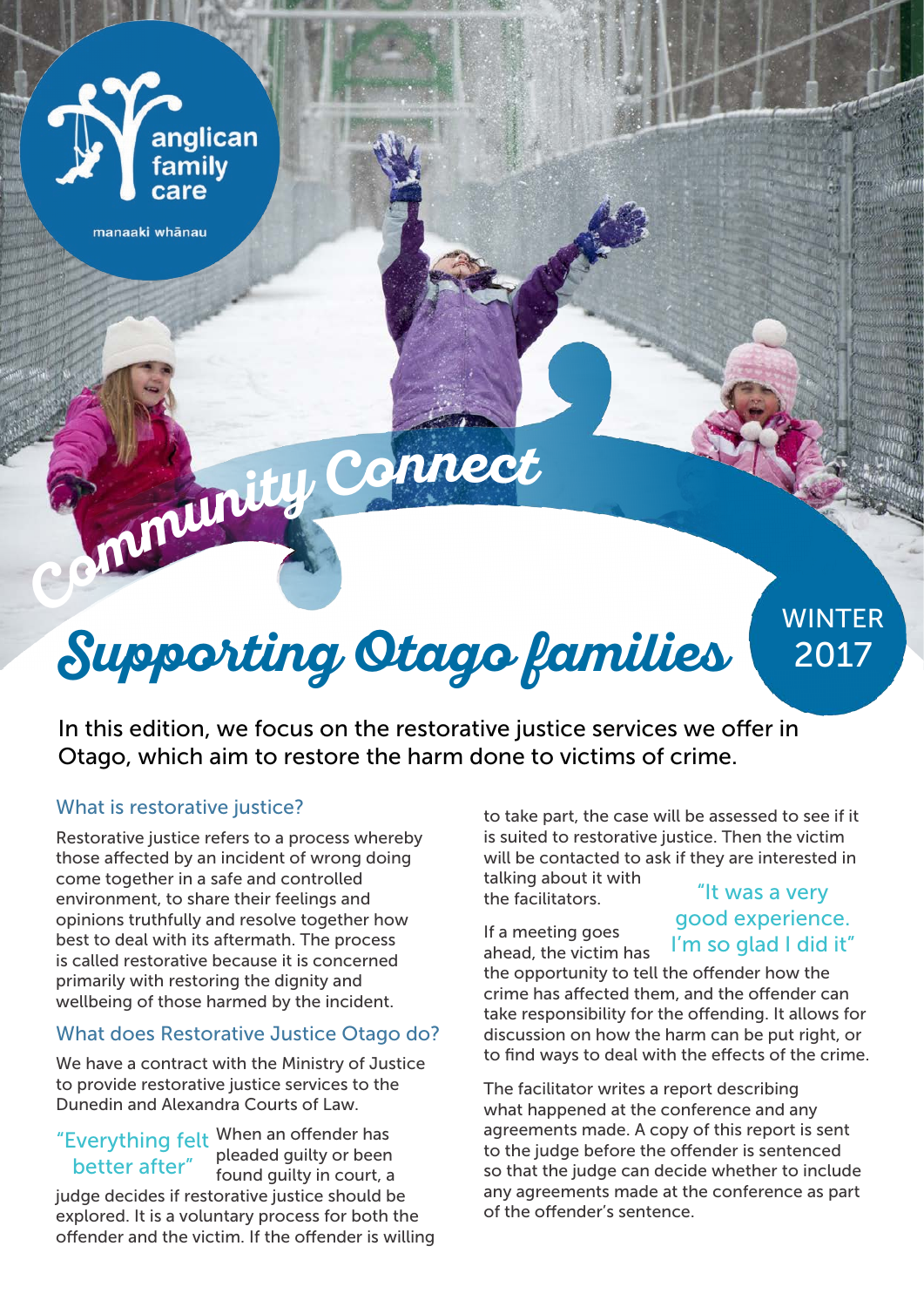

manaaki whānau

# **Supporting Otago families**

**Communit<sup>y</sup> <sup>C</sup>onnec<sup>t</sup>**

WINTER 2017

In this edition, we focus on the restorative justice services we offer in Otago, which aim to restore the harm done to victims of crime.

## What is restorative justice?

Restorative justice refers to a process whereby those affected by an incident of wrong doing come together in a safe and controlled environment, to share their feelings and opinions truthfully and resolve together how best to deal with its aftermath. The process is called restorative because it is concerned primarily with restoring the dignity and wellbeing of those harmed by the incident.

## What does Restorative Justice Otago do?

We have a contract with the Ministry of Justice to provide restorative justice services to the Dunedin and Alexandra Courts of Law.

"Everything felt When an offender has better after" pleaded guilty or been found guilty in court, a judge decides if restorative justice should be explored. It is a voluntary process for both the offender and the victim. If the offender is willing to take part, the case will be assessed to see if it is suited to restorative justice. Then the victim will be contacted to ask if they are interested in talking about it with

the facilitators.

If a meeting goes ahead, the victim has

## "It was a very good experience. I'm so glad I did it"

the opportunity to tell the offender how the crime has affected them, and the offender can take responsibility for the offending. It allows for discussion on how the harm can be put right, or to find ways to deal with the effects of the crime.

The facilitator writes a report describing what happened at the conference and any agreements made. A copy of this report is sent to the judge before the offender is sentenced so that the judge can decide whether to include any agreements made at the conference as part of the offender's sentence.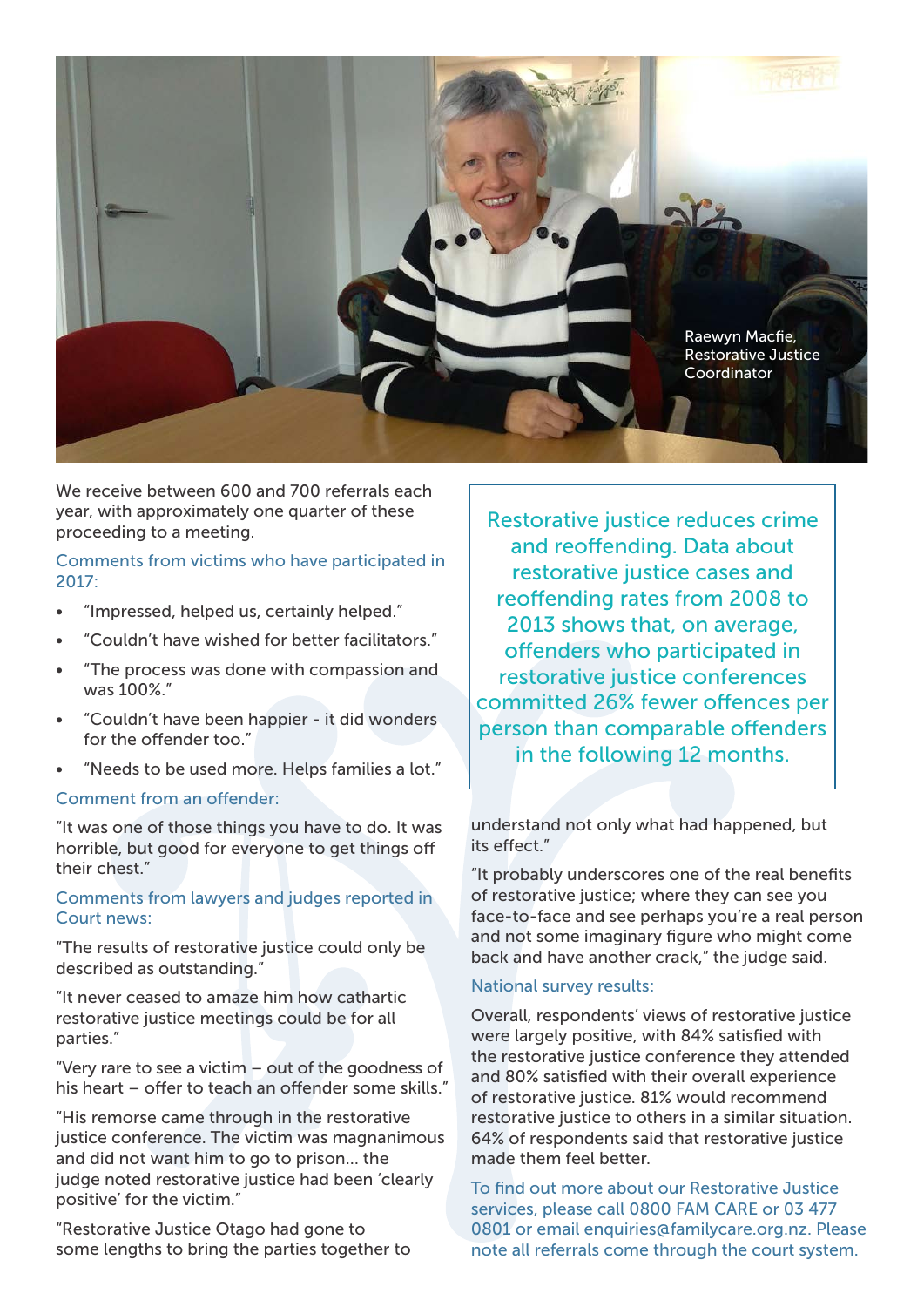

We receive between 600 and 700 referrals each year, with approximately one quarter of these proceeding to a meeting.

## Comments from victims who have participated in 2017:

- "Impressed, helped us, certainly helped."
- "Couldn't have wished for better facilitators."
- "The process was done with compassion and was 100%."
- "Couldn't have been happier it did wonders for the offender too."
- "Needs to be used more. Helps families a lot."

#### Comment from an offender:

"It was one of those things you have to do. It was horrible, but good for everyone to get things off their chest."

## Comments from lawyers and judges reported in Court news:

"The results of restorative justice could only be described as outstanding."

"It never ceased to amaze him how cathartic restorative justice meetings could be for all parties."

"Very rare to see a victim – out of the goodness of his heart – offer to teach an offender some skills."

"His remorse came through in the restorative justice conference. The victim was magnanimous and did not want him to go to prison… the judge noted restorative justice had been 'clearly positive' for the victim."

"Restorative Justice Otago had gone to some lengths to bring the parties together to

Restorative justice reduces crime and reoffending. Data about restorative justice cases and reoffending rates from 2008 to 2013 shows that, on average, offenders who participated in restorative justice conferences committed 26% fewer offences per person than comparable offenders in the following 12 months.

understand not only what had happened, but its effect."

"It probably underscores one of the real benefits of restorative justice; where they can see you face-to-face and see perhaps you're a real person and not some imaginary figure who might come back and have another crack," the judge said.

### National survey results:

Overall, respondents' views of restorative justice were largely positive, with 84% satisfied with the restorative justice conference they attended and 80% satisfied with their overall experience of restorative justice. 81% would recommend restorative justice to others in a similar situation. 64% of respondents said that restorative justice made them feel better.

To find out more about our Restorative Justice services, please call 0800 FAM CARE or 03 477 0801 or email enquiries@familycare.org.nz. Please note all referrals come through the court system.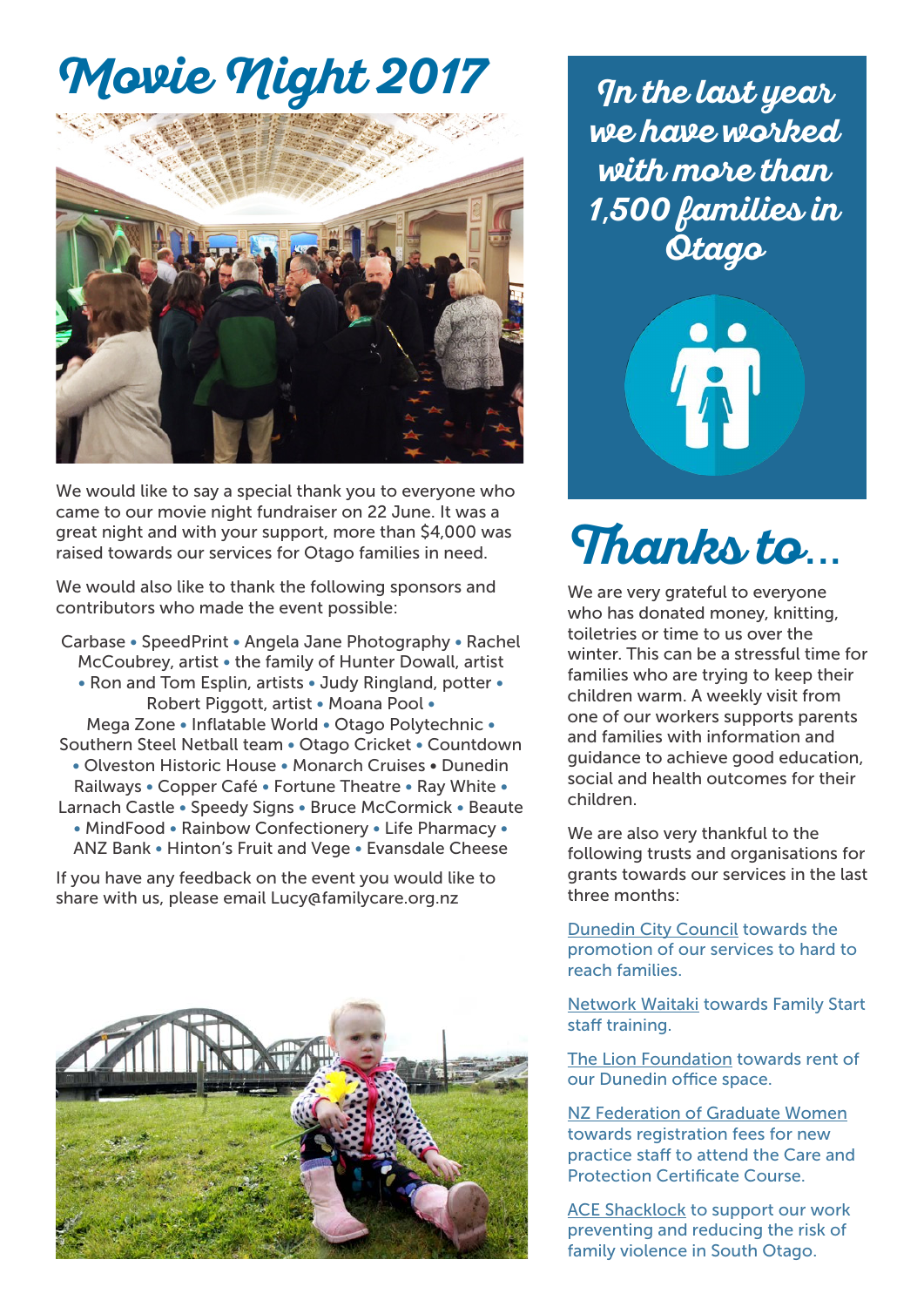## **Movie Night 2017**



We would like to say a special thank you to everyone who came to our movie night fundraiser on 22 June. It was a great night and with your support, more than \$4,000 was raised towards our services for Otago families in need.

We would also like to thank the following sponsors and contributors who made the event possible:

Carbase • SpeedPrint • Angela Jane Photography • Rachel McCoubrey, artist • the family of Hunter Dowall, artist • Ron and Tom Esplin, artists • Judy Ringland, potter • Robert Piggott, artist • Moana Pool • Mega Zone • Inflatable World • Otago Polytechnic • Southern Steel Netball team • Otago Cricket • Countdown • Olveston Historic House • Monarch Cruises • Dunedin Railways • Copper Café • Fortune Theatre • Ray White • Larnach Castle • Speedy Signs • Bruce McCormick • Beaute • MindFood • Rainbow Confectionery • Life Pharmacy • ANZ Bank • Hinton's Fruit and Vege • Evansdale Cheese

If you have any feedback on the event you would like to share with us, please email Lucy@familycare.org.nz



**In the last year we have worked with more than 1**,**500 families in Otago**



## **Thanks to**...

We are very grateful to everyone who has donated money, knitting, toiletries or time to us over the winter. This can be a stressful time for families who are trying to keep their children warm. A weekly visit from one of our workers supports parents and families with information and guidance to achieve good education, social and health outcomes for their children.

We are also very thankful to the following trusts and organisations for grants towards our services in the last three months:

Dunedin City Council towards the promotion of our services to hard to reach families.

Network Waitaki towards Family Start staff training.

The Lion Foundation towards rent of our Dunedin office space.

NZ Federation of Graduate Women towards registration fees for new practice staff to attend the Care and Protection Certificate Course.

ACE Shacklock to support our work preventing and reducing the risk of family violence in South Otago.